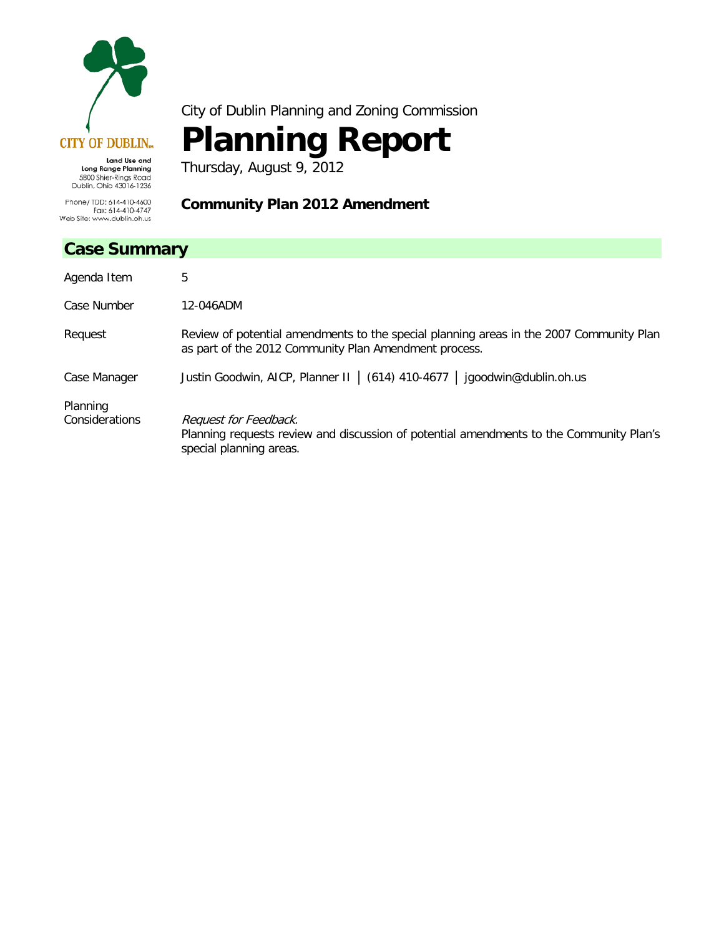

City of Dublin Planning and Zoning Commission

# **Planning Report**

**Community Plan 2012 Amendment**

Thursday, August 9, 2012

5800 Shier-Rings Road<br>Dublin, Ohio 43016-1236 Phone/ TDD: 614-410-4600<br>Fax: 614-410-4747 Web Site: www.dublin.oh.us

## **Case Summary**

| Case Summary               |                                                                                                                                                  |  |
|----------------------------|--------------------------------------------------------------------------------------------------------------------------------------------------|--|
| Agenda Item                | 5                                                                                                                                                |  |
| Case Number                | 12-046ADM                                                                                                                                        |  |
| Request                    | Review of potential amendments to the special planning areas in the 2007 Community Plan<br>as part of the 2012 Community Plan Amendment process. |  |
| Case Manager               | Justin Goodwin, AICP, Planner II   (614) 410-4677   jgoodwin@dublin.oh.us                                                                        |  |
| Planning<br>Considerations | Request for Feedback.<br>Planning requests review and discussion of potential amendments to the Community Plan's<br>special planning areas.      |  |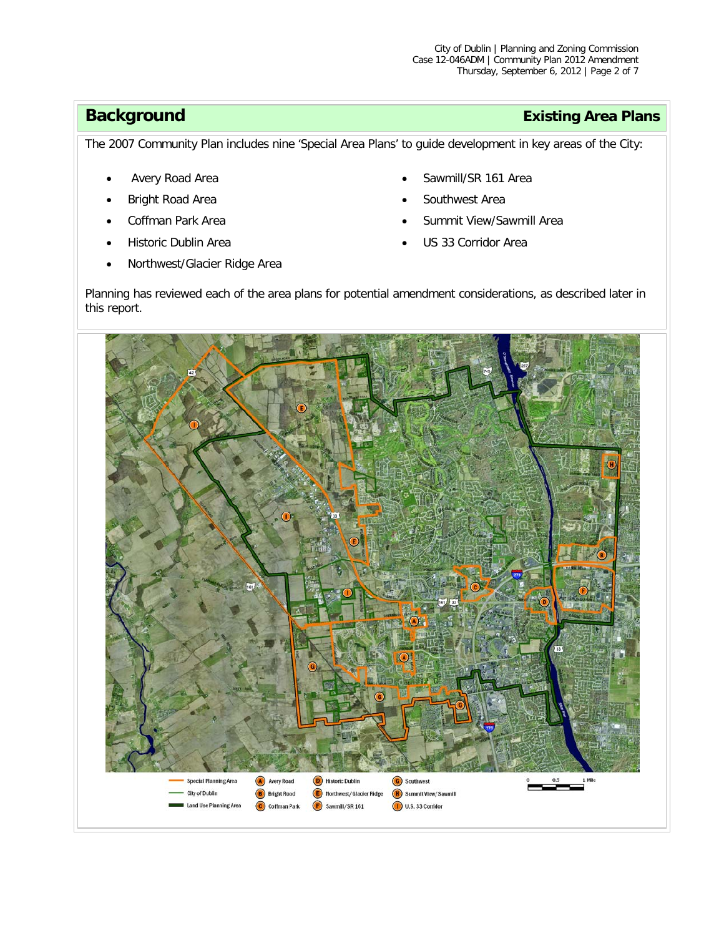# **Background Existing Area Plans**

The 2007 Community Plan includes nine 'Special Area Plans' to guide development in key areas of the City:

- Avery Road Area
- Bright Road Area
- Coffman Park Area
- Historic Dublin Area
- Northwest/Glacier Ridge Area
- Sawmill/SR 161 Area
- Southwest Area
- Summit View/Sawmill Area
- US 33 Corridor Area

Planning has reviewed each of the area plans for potential amendment considerations, as described later in this report.

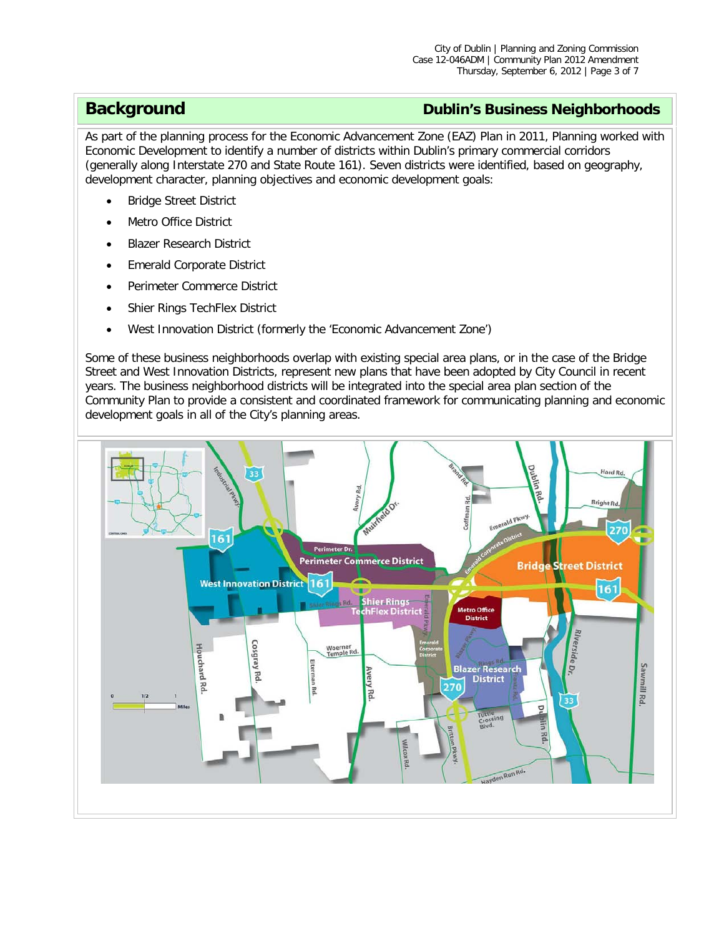### **Background Dublin's Business Neighborhoods**

As part of the planning process for the Economic Advancement Zone (EAZ) Plan in 2011, Planning worked with Economic Development to identify a number of districts within Dublin's primary commercial corridors (generally along Interstate 270 and State Route 161). Seven districts were identified, based on geography, development character, planning objectives and economic development goals:

- **Bridge Street District**
- Metro Office District
- Blazer Research District
- Emerald Corporate District
- Perimeter Commerce District
- Shier Rings TechFlex District
- West Innovation District (formerly the 'Economic Advancement Zone')

Some of these business neighborhoods overlap with existing special area plans, or in the case of the Bridge Street and West Innovation Districts, represent new plans that have been adopted by City Council in recent years. The business neighborhood districts will be integrated into the special area plan section of the Community Plan to provide a consistent and coordinated framework for communicating planning and economic development goals in all of the City's planning areas.

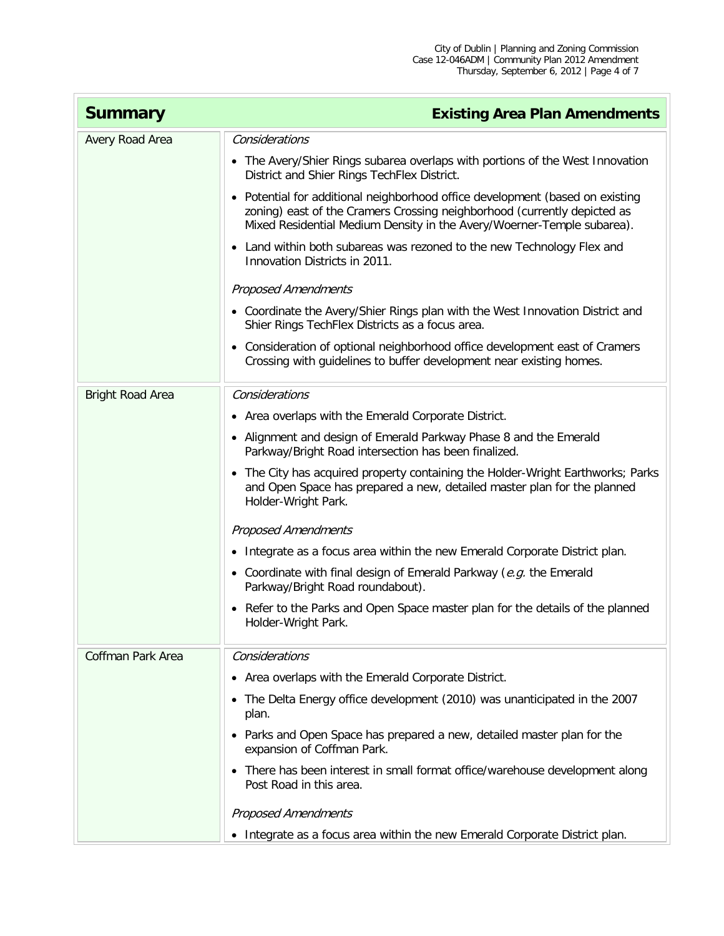| <b>Summary</b>          | <b>Existing Area Plan Amendments</b>                                                                                                                                                                                                |
|-------------------------|-------------------------------------------------------------------------------------------------------------------------------------------------------------------------------------------------------------------------------------|
| Avery Road Area         | Considerations                                                                                                                                                                                                                      |
|                         | • The Avery/Shier Rings subarea overlaps with portions of the West Innovation<br>District and Shier Rings TechFlex District.                                                                                                        |
|                         | • Potential for additional neighborhood office development (based on existing<br>zoning) east of the Cramers Crossing neighborhood (currently depicted as<br>Mixed Residential Medium Density in the Avery/Woerner-Temple subarea). |
|                         | • Land within both subareas was rezoned to the new Technology Flex and<br>Innovation Districts in 2011.                                                                                                                             |
|                         | <b>Proposed Amendments</b>                                                                                                                                                                                                          |
|                         | • Coordinate the Avery/Shier Rings plan with the West Innovation District and<br>Shier Rings TechFlex Districts as a focus area.                                                                                                    |
|                         | • Consideration of optional neighborhood office development east of Cramers<br>Crossing with guidelines to buffer development near existing homes.                                                                                  |
| <b>Bright Road Area</b> | Considerations                                                                                                                                                                                                                      |
|                         | • Area overlaps with the Emerald Corporate District.                                                                                                                                                                                |
|                         | • Alignment and design of Emerald Parkway Phase 8 and the Emerald<br>Parkway/Bright Road intersection has been finalized.                                                                                                           |
|                         | • The City has acquired property containing the Holder-Wright Earthworks; Parks<br>and Open Space has prepared a new, detailed master plan for the planned<br>Holder-Wright Park.                                                   |
|                         | <b>Proposed Amendments</b>                                                                                                                                                                                                          |
|                         | • Integrate as a focus area within the new Emerald Corporate District plan.                                                                                                                                                         |
|                         | • Coordinate with final design of Emerald Parkway ( $e.g.$ the Emerald<br>Parkway/Bright Road roundabout).                                                                                                                          |
|                         | • Refer to the Parks and Open Space master plan for the details of the planned<br>Holder-Wright Park.                                                                                                                               |
| Coffman Park Area       | Considerations                                                                                                                                                                                                                      |
|                         | • Area overlaps with the Emerald Corporate District.                                                                                                                                                                                |
|                         | • The Delta Energy office development (2010) was unanticipated in the 2007<br>plan.                                                                                                                                                 |
|                         | • Parks and Open Space has prepared a new, detailed master plan for the<br>expansion of Coffman Park.                                                                                                                               |
|                         | • There has been interest in small format office/warehouse development along<br>Post Road in this area.                                                                                                                             |
|                         | <b>Proposed Amendments</b>                                                                                                                                                                                                          |
|                         | • Integrate as a focus area within the new Emerald Corporate District plan.                                                                                                                                                         |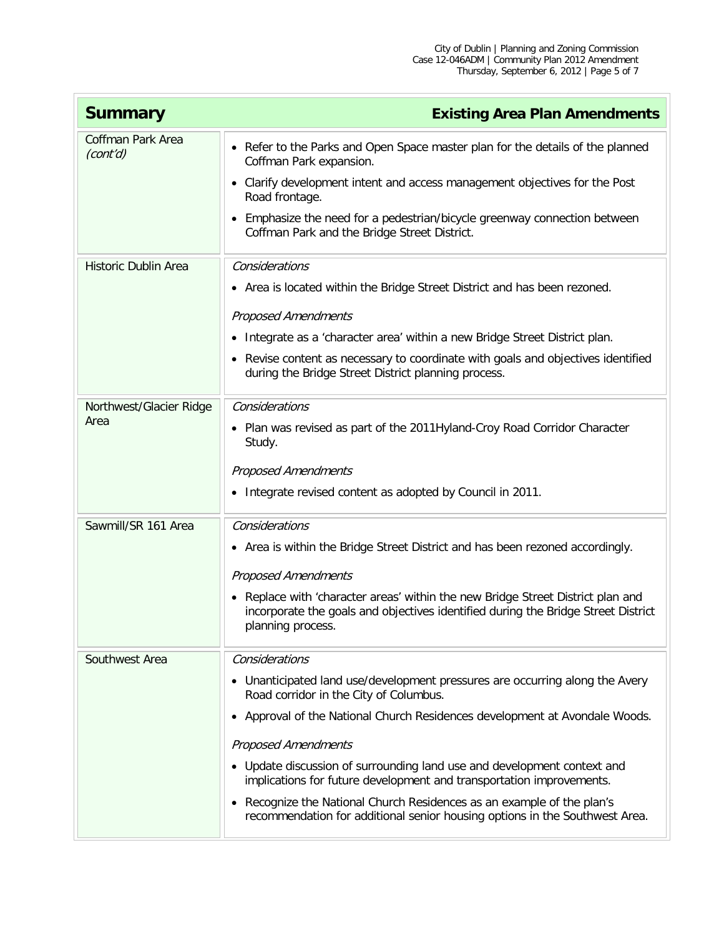| <b>Summary</b>                       | <b>Existing Area Plan Amendments</b>                                                                                                                                                                                                                                                                                                                                                                                                                                                                                                                              |
|--------------------------------------|-------------------------------------------------------------------------------------------------------------------------------------------------------------------------------------------------------------------------------------------------------------------------------------------------------------------------------------------------------------------------------------------------------------------------------------------------------------------------------------------------------------------------------------------------------------------|
| <b>Coffman Park Area</b><br>(cont'd) | • Refer to the Parks and Open Space master plan for the details of the planned<br>Coffman Park expansion.<br>• Clarify development intent and access management objectives for the Post<br>Road frontage.<br>• Emphasize the need for a pedestrian/bicycle greenway connection between<br>Coffman Park and the Bridge Street District.                                                                                                                                                                                                                            |
| Historic Dublin Area                 | Considerations<br>• Area is located within the Bridge Street District and has been rezoned.<br><b>Proposed Amendments</b><br>• Integrate as a 'character area' within a new Bridge Street District plan.<br>• Revise content as necessary to coordinate with goals and objectives identified<br>during the Bridge Street District planning process.                                                                                                                                                                                                               |
| Northwest/Glacier Ridge<br>Area      | Considerations<br>• Plan was revised as part of the 2011 Hyland-Croy Road Corridor Character<br>Study.<br><b>Proposed Amendments</b><br>• Integrate revised content as adopted by Council in 2011.                                                                                                                                                                                                                                                                                                                                                                |
| Sawmill/SR 161 Area                  | Considerations<br>• Area is within the Bridge Street District and has been rezoned accordingly.<br><b>Proposed Amendments</b><br>• Replace with 'character areas' within the new Bridge Street District plan and<br>incorporate the goals and objectives identified during the Bridge Street District<br>planning process.                                                                                                                                                                                                                                        |
| Southwest Area                       | Considerations<br>• Unanticipated land use/development pressures are occurring along the Avery<br>Road corridor in the City of Columbus.<br>• Approval of the National Church Residences development at Avondale Woods.<br><b>Proposed Amendments</b><br>• Update discussion of surrounding land use and development context and<br>implications for future development and transportation improvements.<br>• Recognize the National Church Residences as an example of the plan's<br>recommendation for additional senior housing options in the Southwest Area. |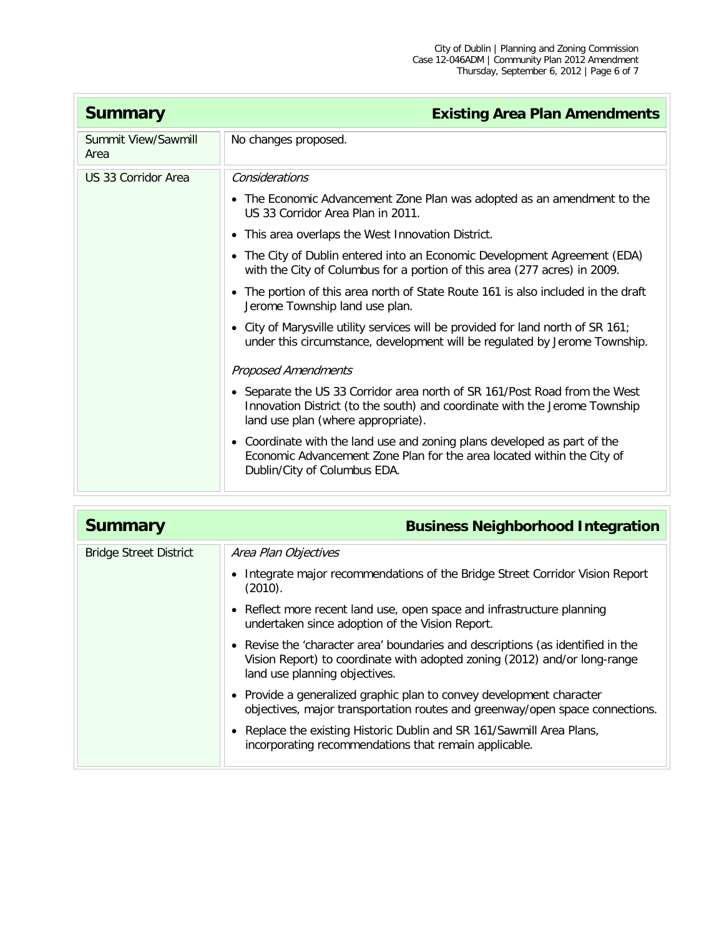| <b>Summary</b>              | <b>Existing Area Plan Amendments</b>                                                                                                                                                           |
|-----------------------------|------------------------------------------------------------------------------------------------------------------------------------------------------------------------------------------------|
| Summit View/Sawmill<br>Area | No changes proposed.                                                                                                                                                                           |
| US 33 Corridor Area         | Considerations                                                                                                                                                                                 |
|                             | • The Economic Advancement Zone Plan was adopted as an amendment to the<br>US 33 Corridor Area Plan in 2011.                                                                                   |
|                             | • This area overlaps the West Innovation District.                                                                                                                                             |
|                             | • The City of Dublin entered into an Economic Development Agreement (EDA)<br>with the City of Columbus for a portion of this area (277 acres) in 2009.                                         |
|                             | • The portion of this area north of State Route 161 is also included in the draft<br>Jerome Township land use plan.                                                                            |
|                             | • City of Marysville utility services will be provided for land north of SR 161;<br>under this circumstance, development will be regulated by Jerome Township.                                 |
|                             | <b>Proposed Amendments</b>                                                                                                                                                                     |
|                             | • Separate the US 33 Corridor area north of SR 161/Post Road from the West<br>Innovation District (to the south) and coordinate with the Jerome Township<br>land use plan (where appropriate). |
|                             | • Coordinate with the land use and zoning plans developed as part of the<br>Economic Advancement Zone Plan for the area located within the City of<br>Dublin/City of Columbus EDA.             |

| <b>Summary</b>                | <b>Business Neighborhood Integration</b>                                                                                                                                                      |
|-------------------------------|-----------------------------------------------------------------------------------------------------------------------------------------------------------------------------------------------|
| <b>Bridge Street District</b> | Area Plan Objectives                                                                                                                                                                          |
|                               | • Integrate major recommendations of the Bridge Street Corridor Vision Report<br>(2010).                                                                                                      |
|                               | • Reflect more recent land use, open space and infrastructure planning<br>undertaken since adoption of the Vision Report.                                                                     |
|                               | • Revise the 'character area' boundaries and descriptions (as identified in the<br>Vision Report) to coordinate with adopted zoning (2012) and/or long-range<br>land use planning objectives. |
|                               | • Provide a generalized graphic plan to convey development character<br>objectives, major transportation routes and greenway/open space connections.                                          |
|                               | • Replace the existing Historic Dublin and SR 161/Sawmill Area Plans,<br>incorporating recommendations that remain applicable.                                                                |